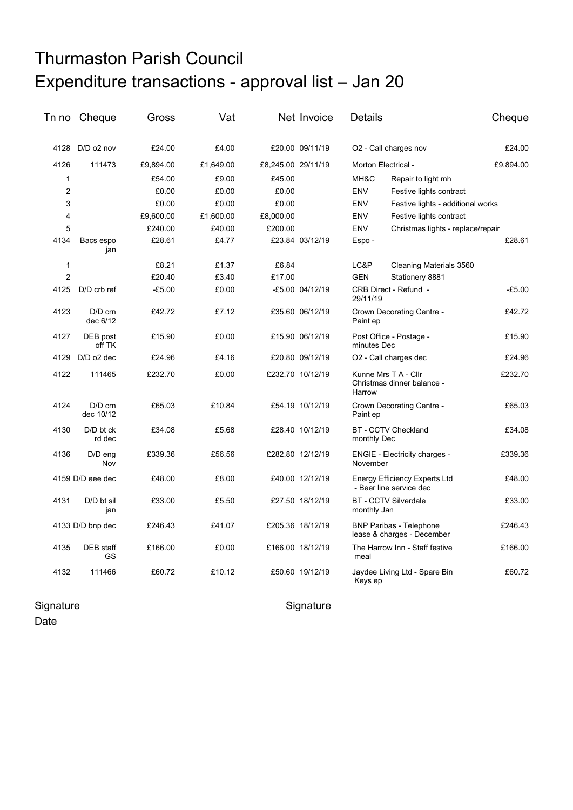## Thurmaston Parish Council Expenditure transactions - approval list – Jan 20

| Tn no          | Cheque                 | Gross     | Vat       |                    | Net Invoice      | <b>Details</b>                            |                                                                 | Cheque    |
|----------------|------------------------|-----------|-----------|--------------------|------------------|-------------------------------------------|-----------------------------------------------------------------|-----------|
|                | 4128 D/D o2 nov        | £24.00    | £4.00     |                    | £20.00 09/11/19  |                                           | O2 - Call charges nov                                           | £24.00    |
| 4126           | 111473                 | £9,894.00 | £1,649.00 | £8,245.00 29/11/19 |                  |                                           | Morton Electrical -                                             | £9,894.00 |
| $\mathbf{1}$   |                        | £54.00    | £9.00     | £45.00             |                  | MH&C                                      | Repair to light mh                                              |           |
| $\overline{2}$ |                        | £0.00     | £0.00     | £0.00              |                  | <b>ENV</b>                                | Festive lights contract                                         |           |
| 3              |                        | £0.00     | £0.00     | £0.00              |                  | <b>ENV</b>                                | Festive lights - additional works                               |           |
| 4              |                        | £9,600.00 | £1,600.00 | £8,000.00          |                  | <b>ENV</b>                                | Festive lights contract                                         |           |
| 5              |                        | £240.00   | £40.00    | £200.00            |                  | <b>ENV</b>                                | Christmas lights - replace/repair                               |           |
| 4134           | Bacs espo<br>jan       | £28.61    | £4.77     |                    | £23.84 03/12/19  | Espo-                                     |                                                                 | £28.61    |
| 1              |                        | £8.21     | £1.37     | £6.84              |                  | LC&P                                      | Cleaning Materials 3560                                         |           |
| $\overline{2}$ |                        | £20.40    | £3.40     | £17.00             |                  | <b>GEN</b>                                | Stationery 8881                                                 |           |
| 4125           | D/D crb ref            | $-£5.00$  | £0.00     |                    | -£5.00 04/12/19  | 29/11/19                                  | CRB Direct - Refund -                                           | $-£5.00$  |
| 4123           | $D/D$ crn<br>dec 6/12  | £42.72    | £7.12     |                    | £35.60 06/12/19  | Paint ep                                  | Crown Decorating Centre -                                       | £42.72    |
| 4127           | DEB post<br>off TK     | £15.90    | £0.00     |                    | £15.90 06/12/19  | minutes Dec                               | Post Office - Postage -                                         | £15.90    |
| 4129           | D/D o2 dec             | £24.96    | £4.16     |                    | £20.80 09/12/19  |                                           | O2 - Call charges dec                                           | £24.96    |
| 4122           | 111465                 | £232.70   | £0.00     |                    | £232.70 10/12/19 | Harrow                                    | Kunne Mrs T A - Cllr<br>Christmas dinner balance -              | £232.70   |
| 4124           | $D/D$ crn<br>dec 10/12 | £65.03    | £10.84    |                    | £54.19 10/12/19  | Crown Decorating Centre -<br>Paint ep     |                                                                 | £65.03    |
| 4130           | D/D bt ck<br>rd dec    | £34.08    | £5.68     |                    | £28.40 10/12/19  | <b>BT - CCTV Checkland</b><br>monthly Dec |                                                                 | £34.08    |
| 4136           | $D/D$ eng<br>Nov       | £339.36   | £56.56    |                    | £282.80 12/12/19 | November                                  | <b>ENGIE - Electricity charges -</b>                            | £339.36   |
|                | 4159 D/D eee dec       | £48.00    | £8.00     |                    | £40.00 12/12/19  |                                           | <b>Energy Efficiency Experts Ltd</b><br>- Beer line service dec | £48.00    |
| 4131           | D/D bt sil<br>jan      | £33.00    | £5.50     |                    | £27.50 18/12/19  | monthly Jan                               | <b>BT - CCTV Silverdale</b>                                     | £33.00    |
|                | 4133 D/D bnp dec       | £246.43   | £41.07    |                    | £205.36 18/12/19 |                                           | <b>BNP Paribas - Telephone</b><br>lease & charges - December    | £246.43   |
| 4135           | DEB staff<br>GS        | £166.00   | £0.00     |                    | £166.00 18/12/19 | meal                                      | The Harrow Inn - Staff festive                                  | £166.00   |
| 4132           | 111466                 | £60.72    | £10.12    |                    | £50.60 19/12/19  | Keys ep                                   | Jaydee Living Ltd - Spare Bin                                   | £60.72    |

Signature Signature Signature Signature Date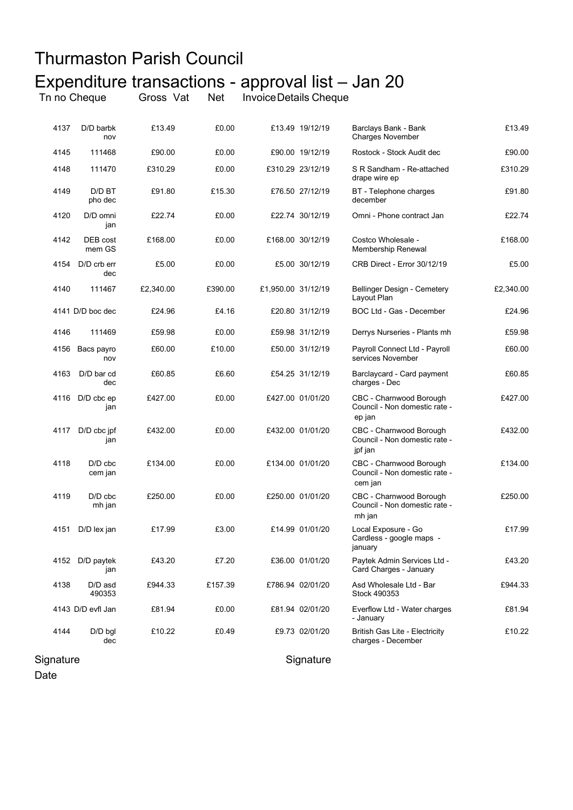## Thurmaston Parish Council Expenditure transactions - approval list – Jan 20 Tn no Cheque Gross Vat Net InvoiceDetails Cheque

| 4137      | D/D barbk<br>nov       | £13.49    | £0.00   |                    | £13.49 19/12/19  | Barclays Bank - Bank<br><b>Charges November</b>                     | £13.49    |
|-----------|------------------------|-----------|---------|--------------------|------------------|---------------------------------------------------------------------|-----------|
| 4145      | 111468                 | £90.00    | £0.00   |                    | £90.00 19/12/19  | Rostock - Stock Audit dec                                           | £90.00    |
| 4148      | 111470                 | £310.29   | £0.00   |                    | £310.29 23/12/19 | S R Sandham - Re-attached<br>drape wire ep                          | £310.29   |
| 4149      | D/D BT<br>pho dec      | £91.80    | £15.30  |                    | £76.50 27/12/19  | BT - Telephone charges<br>december                                  | £91.80    |
| 4120      | D/D omni<br>jan        | £22.74    | £0.00   |                    | £22.74 30/12/19  | Omni - Phone contract Jan                                           | £22.74    |
| 4142      | DEB cost<br>mem GS     | £168.00   | £0.00   |                    | £168.00 30/12/19 | Costco Wholesale -<br>Membership Renewal                            | £168.00   |
| 4154      | D/D crb err<br>dec     | £5.00     | £0.00   |                    | £5.00 30/12/19   | CRB Direct - Error 30/12/19                                         | £5.00     |
| 4140      | 111467                 | £2,340.00 | £390.00 | £1,950.00 31/12/19 |                  | Bellinger Design - Cemetery<br>Layout Plan                          | £2,340.00 |
|           | 4141 D/D boc dec       | £24.96    | £4.16   |                    | £20.80 31/12/19  | BOC Ltd - Gas - December                                            | £24.96    |
| 4146      | 111469                 | £59.98    | £0.00   |                    | £59.98 31/12/19  | Derrys Nurseries - Plants mh                                        | £59.98    |
| 4156      | Bacs payro<br>nov      | £60.00    | £10.00  |                    | £50.00 31/12/19  | Payroll Connect Ltd - Payroll<br>services November                  | £60.00    |
| 4163      | D/D bar cd<br>dec      | £60.85    | £6.60   |                    | £54.25 31/12/19  | Barclaycard - Card payment<br>charges - Dec                         | £60.85    |
| 4116      | D/D cbc ep<br>jan      | £427.00   | £0.00   |                    | £427.00 01/01/20 | CBC - Charnwood Borough<br>Council - Non domestic rate -<br>ep jan  | £427.00   |
| 4117      | D/D cbc jpf<br>jan     | £432.00   | £0.00   |                    | £432.00 01/01/20 | CBC - Charnwood Borough<br>Council - Non domestic rate -<br>jpf jan | £432.00   |
| 4118      | $D/D$ cbc<br>cem jan   | £134.00   | £0.00   |                    | £134.00 01/01/20 | CBC - Charnwood Borough<br>Council - Non domestic rate -<br>cem jan | £134.00   |
| 4119      | $D/D$ cbc<br>mh jan    | £250.00   | £0.00   |                    | £250.00 01/01/20 | CBC - Charnwood Borough<br>Council - Non domestic rate -<br>mh jan  | £250.00   |
| 4151      | D/D lex jan            | £17.99    | £3.00   |                    | £14.99 01/01/20  | Local Exposure - Go<br>Cardless - google maps -<br>january          | £17.99    |
|           | 4152 D/D paytek<br>jan | £43.20    | £7.20   |                    | £36.00 01/01/20  | Paytek Admin Services Ltd -<br>Card Charges - January               | £43.20    |
| 4138      | D/D asd<br>490353      | £944.33   | £157.39 |                    | £786.94 02/01/20 | Asd Wholesale Ltd - Bar<br>Stock 490353                             | £944.33   |
|           | 4143 D/D evfl Jan      | £81.94    | £0.00   |                    | £81.94 02/01/20  | Everflow Ltd - Water charges<br>- January                           | £81.94    |
| 4144      | $D/D$ bgl<br>dec       | £10.22    | £0.49   |                    | £9.73 02/01/20   | <b>British Gas Lite - Electricity</b><br>charges - December         | £10.22    |
| Signature |                        |           |         |                    | Signature        |                                                                     |           |

Date